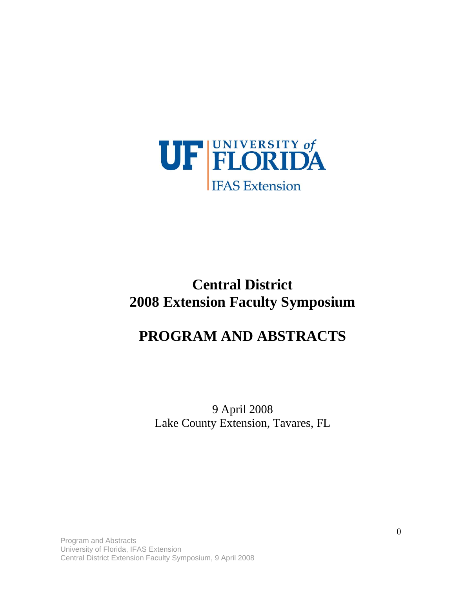

# **Central District 2008 Extension Faculty Symposium**

## **PROGRAM AND ABSTRACTS**

9 April 2008 Lake County Extension, Tavares, FL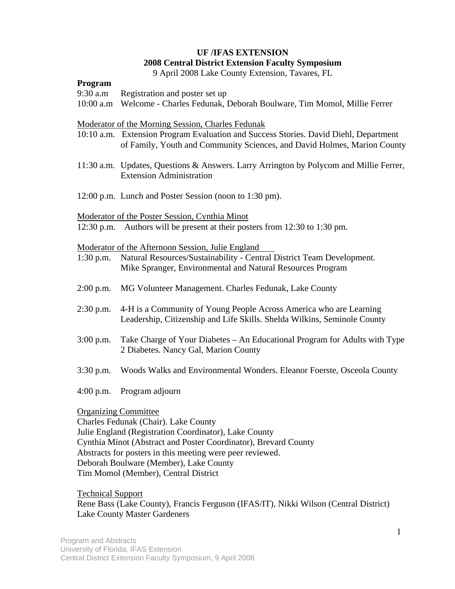## **UF /IFAS EXTENSION 2008 Central District Extension Faculty Symposium**

9 April 2008 Lake County Extension, Tavares, FL

### **Program**

- 9:30 a.m Registration and poster set up
- 10:00 a.m Welcome Charles Fedunak, Deborah Boulware, Tim Momol, Millie Ferrer

### Moderator of the Morning Session, Charles Fedunak

- 10:10 a.m. Extension Program Evaluation and Success Stories. David Diehl, Department of Family, Youth and Community Sciences, and David Holmes, Marion County
- 11:30 a.m. Updates, Questions & Answers. Larry Arrington by Polycom and Millie Ferrer, Extension Administration
- 12:00 p.m. Lunch and Poster Session (noon to 1:30 pm).

### Moderator of the Poster Session, Cynthia Minot

12:30 p.m. Authors will be present at their posters from 12:30 to 1:30 pm.

### Moderator of the Afternoon Session, Julie England

| $1:30$ p.m. | Natural Resources/Sustainability - Central District Team Development. |
|-------------|-----------------------------------------------------------------------|
|             | Mike Spranger, Environmental and Natural Resources Program            |
|             |                                                                       |

- 2:00 p.m. MG Volunteer Management. Charles Fedunak, Lake County
- 2:30 p.m. 4-H is a Community of Young People Across America who are Learning Leadership, Citizenship and Life Skills. Shelda Wilkins, Seminole County
- 3:00 p.m. Take Charge of Your Diabetes An Educational Program for Adults with Type 2 Diabetes. Nancy Gal, Marion County
- 3:30 p.m. Woods Walks and Environmental Wonders. Eleanor Foerste, Osceola County
- 4:00 p.m. Program adjourn

### Organizing Committee

Charles Fedunak (Chair). Lake County Julie England (Registration Coordinator), Lake County Cynthia Minot (Abstract and Poster Coordinator), Brevard County Abstracts for posters in this meeting were peer reviewed. Deborah Boulware (Member), Lake County Tim Momol (Member), Central District

Technical Support Rene Bass (Lake County), Francis Ferguson (IFAS/IT), Nikki Wilson (Central District) Lake County Master Gardeners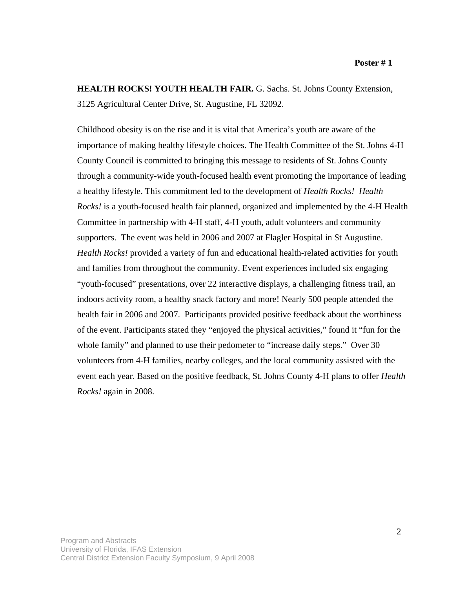**HEALTH ROCKS! YOUTH HEALTH FAIR. G. Sachs. St. Johns County Extension,** 3125 Agricultural Center Drive, St. Augustine, FL 32092.

Childhood obesity is on the rise and it is vital that America's youth are aware of the importance of making healthy lifestyle choices. The Health Committee of the St. Johns 4-H County Council is committed to bringing this message to residents of St. Johns County through a community-wide youth-focused health event promoting the importance of leading a healthy lifestyle. This commitment led to the development of *Health Rocks! Health Rocks!* is a youth-focused health fair planned, organized and implemented by the 4-H Health Committee in partnership with 4-H staff, 4-H youth, adult volunteers and community supporters. The event was held in 2006 and 2007 at Flagler Hospital in St Augustine. *Health Rocks!* provided a variety of fun and educational health-related activities for youth and families from throughout the community. Event experiences included six engaging "youth-focused" presentations, over 22 interactive displays, a challenging fitness trail, an indoors activity room, a healthy snack factory and more! Nearly 500 people attended the health fair in 2006 and 2007. Participants provided positive feedback about the worthiness of the event. Participants stated they "enjoyed the physical activities," found it "fun for the whole family" and planned to use their pedometer to "increase daily steps." Over 30 volunteers from 4-H families, nearby colleges, and the local community assisted with the event each year. Based on the positive feedback, St. Johns County 4-H plans to offer *Health Rocks!* again in 2008.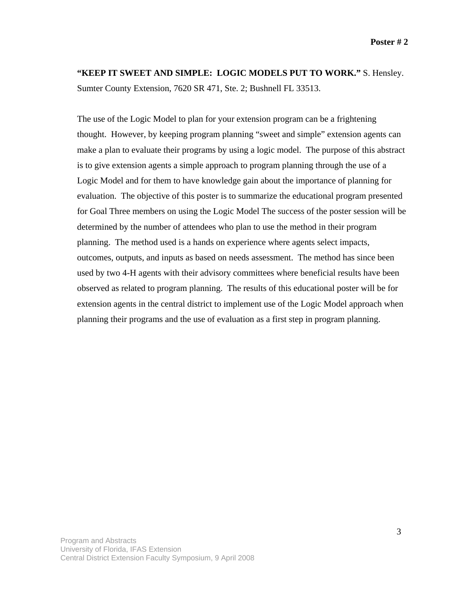**"KEEP IT SWEET AND SIMPLE: LOGIC MODELS PUT TO WORK."** S. Hensley. Sumter County Extension, 7620 SR 471, Ste. 2; Bushnell FL 33513.

The use of the Logic Model to plan for your extension program can be a frightening thought. However, by keeping program planning "sweet and simple" extension agents can make a plan to evaluate their programs by using a logic model. The purpose of this abstract is to give extension agents a simple approach to program planning through the use of a Logic Model and for them to have knowledge gain about the importance of planning for evaluation. The objective of this poster is to summarize the educational program presented for Goal Three members on using the Logic Model The success of the poster session will be determined by the number of attendees who plan to use the method in their program planning.The method used is a hands on experience where agents select impacts, outcomes, outputs, and inputs as based on needs assessment. The method has since been used by two 4-H agents with their advisory committees where beneficial results have been observed as related to program planning. The results of this educational poster will be for extension agents in the central district to implement use of the Logic Model approach when planning their programs and the use of evaluation as a first step in program planning.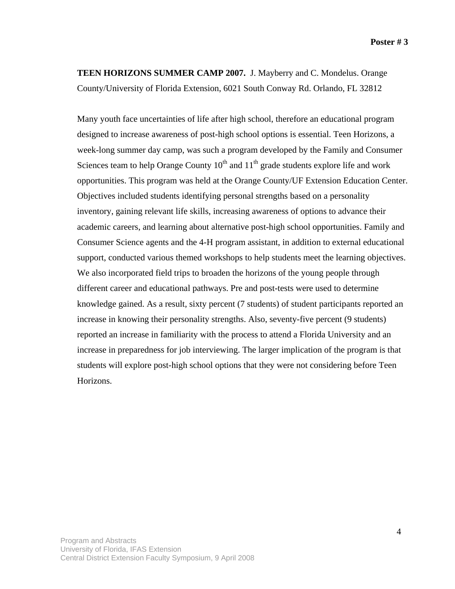**TEEN HORIZONS SUMMER CAMP 2007.** J. Mayberry and C. Mondelus. Orange County/University of Florida Extension, 6021 South Conway Rd. Orlando, FL 32812

Many youth face uncertainties of life after high school, therefore an educational program designed to increase awareness of post-high school options is essential. Teen Horizons, a week-long summer day camp, was such a program developed by the Family and Consumer Sciences team to help Orange County  $10^{th}$  and  $11^{th}$  grade students explore life and work opportunities. This program was held at the Orange County/UF Extension Education Center. Objectives included students identifying personal strengths based on a personality inventory, gaining relevant life skills, increasing awareness of options to advance their academic careers, and learning about alternative post-high school opportunities. Family and Consumer Science agents and the 4-H program assistant, in addition to external educational support, conducted various themed workshops to help students meet the learning objectives. We also incorporated field trips to broaden the horizons of the young people through different career and educational pathways. Pre and post-tests were used to determine knowledge gained. As a result, sixty percent (7 students) of student participants reported an increase in knowing their personality strengths. Also, seventy-five percent (9 students) reported an increase in familiarity with the process to attend a Florida University and an increase in preparedness for job interviewing. The larger implication of the program is that students will explore post-high school options that they were not considering before Teen Horizons.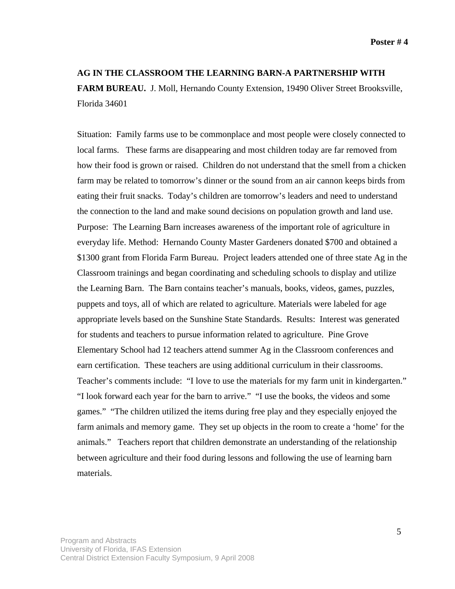### **AG IN THE CLASSROOM THE LEARNING BARN-A PARTNERSHIP WITH**

**FARM BUREAU.** J. Moll, Hernando County Extension, 19490 Oliver Street Brooksville, Florida 34601

Situation: Family farms use to be commonplace and most people were closely connected to local farms. These farms are disappearing and most children today are far removed from how their food is grown or raised. Children do not understand that the smell from a chicken farm may be related to tomorrow's dinner or the sound from an air cannon keeps birds from eating their fruit snacks. Today's children are tomorrow's leaders and need to understand the connection to the land and make sound decisions on population growth and land use. Purpose: The Learning Barn increases awareness of the important role of agriculture in everyday life. Method: Hernando County Master Gardeners donated \$700 and obtained a \$1300 grant from Florida Farm Bureau. Project leaders attended one of three state Ag in the Classroom trainings and began coordinating and scheduling schools to display and utilize the Learning Barn. The Barn contains teacher's manuals, books, videos, games, puzzles, puppets and toys, all of which are related to agriculture. Materials were labeled for age appropriate levels based on the Sunshine State Standards. Results: Interest was generated for students and teachers to pursue information related to agriculture. Pine Grove Elementary School had 12 teachers attend summer Ag in the Classroom conferences and earn certification. These teachers are using additional curriculum in their classrooms. Teacher's comments include: "I love to use the materials for my farm unit in kindergarten." "I look forward each year for the barn to arrive." "I use the books, the videos and some games." "The children utilized the items during free play and they especially enjoyed the farm animals and memory game. They set up objects in the room to create a 'home' for the animals." Teachers report that children demonstrate an understanding of the relationship between agriculture and their food during lessons and following the use of learning barn materials.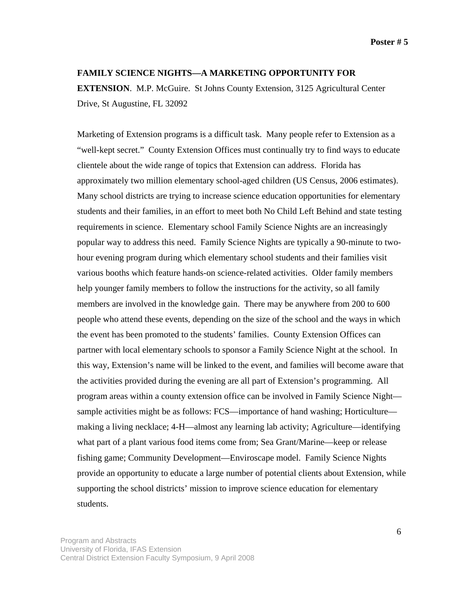**Poster # 5** 

### **FAMILY SCIENCE NIGHTS—A MARKETING OPPORTUNITY FOR**

**EXTENSION**. M.P. McGuire. St Johns County Extension, 3125 Agricultural Center Drive, St Augustine, FL 32092

Marketing of Extension programs is a difficult task. Many people refer to Extension as a "well-kept secret." County Extension Offices must continually try to find ways to educate clientele about the wide range of topics that Extension can address. Florida has approximately two million elementary school-aged children (US Census, 2006 estimates). Many school districts are trying to increase science education opportunities for elementary students and their families, in an effort to meet both No Child Left Behind and state testing requirements in science. Elementary school Family Science Nights are an increasingly popular way to address this need. Family Science Nights are typically a 90-minute to twohour evening program during which elementary school students and their families visit various booths which feature hands-on science-related activities. Older family members help younger family members to follow the instructions for the activity, so all family members are involved in the knowledge gain. There may be anywhere from 200 to 600 people who attend these events, depending on the size of the school and the ways in which the event has been promoted to the students' families. County Extension Offices can partner with local elementary schools to sponsor a Family Science Night at the school. In this way, Extension's name will be linked to the event, and families will become aware that the activities provided during the evening are all part of Extension's programming. All program areas within a county extension office can be involved in Family Science Night sample activities might be as follows: FCS—importance of hand washing; Horticulture making a living necklace; 4-H—almost any learning lab activity; Agriculture—identifying what part of a plant various food items come from; Sea Grant/Marine—keep or release fishing game; Community Development—Enviroscape model. Family Science Nights provide an opportunity to educate a large number of potential clients about Extension, while supporting the school districts' mission to improve science education for elementary students.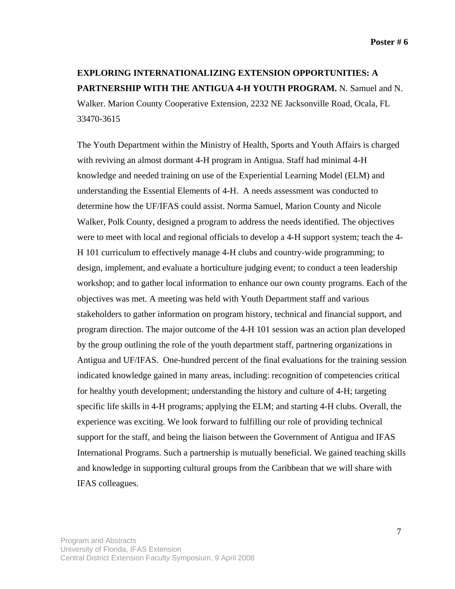## **EXPLORING INTERNATIONALIZING EXTENSION OPPORTUNITIES: A PARTNERSHIP WITH THE ANTIGUA 4-H YOUTH PROGRAM.** N. Samuel and N. Walker. Marion County Cooperative Extension, 2232 NE Jacksonville Road, Ocala, FL 33470-3615

The Youth Department within the Ministry of Health, Sports and Youth Affairs is charged with reviving an almost dormant 4-H program in Antigua. Staff had minimal 4-H knowledge and needed training on use of the Experiential Learning Model (ELM) and understanding the Essential Elements of 4-H. A needs assessment was conducted to determine how the UF/IFAS could assist. Norma Samuel, Marion County and Nicole Walker, Polk County, designed a program to address the needs identified. The objectives were to meet with local and regional officials to develop a 4-H support system; teach the 4- H 101 curriculum to effectively manage 4-H clubs and country-wide programming; to design, implement, and evaluate a horticulture judging event; to conduct a teen leadership workshop; and to gather local information to enhance our own county programs. Each of the objectives was met. A meeting was held with Youth Department staff and various stakeholders to gather information on program history, technical and financial support, and program direction. The major outcome of the 4-H 101 session was an action plan developed by the group outlining the role of the youth department staff, partnering organizations in Antigua and UF/IFAS. One-hundred percent of the final evaluations for the training session indicated knowledge gained in many areas, including: recognition of competencies critical for healthy youth development; understanding the history and culture of 4-H; targeting specific life skills in 4-H programs; applying the ELM; and starting 4-H clubs. Overall, the experience was exciting. We look forward to fulfilling our role of providing technical support for the staff, and being the liaison between the Government of Antigua and IFAS International Programs. Such a partnership is mutually beneficial. We gained teaching skills and knowledge in supporting cultural groups from the Caribbean that we will share with IFAS colleagues.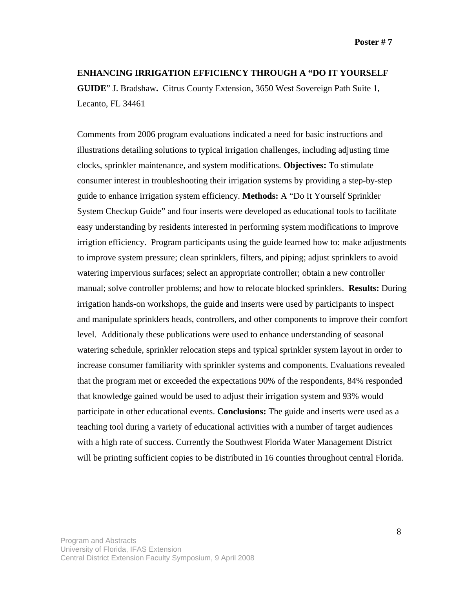### **ENHANCING IRRIGATION EFFICIENCY THROUGH A "DO IT YOURSELF**

**GUIDE**" J. Bradshaw**.** Citrus County Extension, 3650 West Sovereign Path Suite 1, Lecanto, FL 34461

Comments from 2006 program evaluations indicated a need for basic instructions and illustrations detailing solutions to typical irrigation challenges, including adjusting time clocks, sprinkler maintenance, and system modifications. **Objectives:** To stimulate consumer interest in troubleshooting their irrigation systems by providing a step-by-step guide to enhance irrigation system efficiency. **Methods:** A "Do It Yourself Sprinkler System Checkup Guide" and four inserts were developed as educational tools to facilitate easy understanding by residents interested in performing system modifications to improve irrigtion efficiency. Program participants using the guide learned how to: make adjustments to improve system pressure; clean sprinklers, filters, and piping; adjust sprinklers to avoid watering impervious surfaces; select an appropriate controller; obtain a new controller manual; solve controller problems; and how to relocate blocked sprinklers. **Results:** During irrigation hands-on workshops, the guide and inserts were used by participants to inspect and manipulate sprinklers heads, controllers, and other components to improve their comfort level. Additionaly these publications were used to enhance understanding of seasonal watering schedule, sprinkler relocation steps and typical sprinkler system layout in order to increase consumer familiarity with sprinkler systems and components. Evaluations revealed that the program met or exceeded the expectations 90% of the respondents, 84% responded that knowledge gained would be used to adjust their irrigation system and 93% would participate in other educational events. **Conclusions:** The guide and inserts were used as a teaching tool during a variety of educational activities with a number of target audiences with a high rate of success. Currently the Southwest Florida Water Management District will be printing sufficient copies to be distributed in 16 counties throughout central Florida.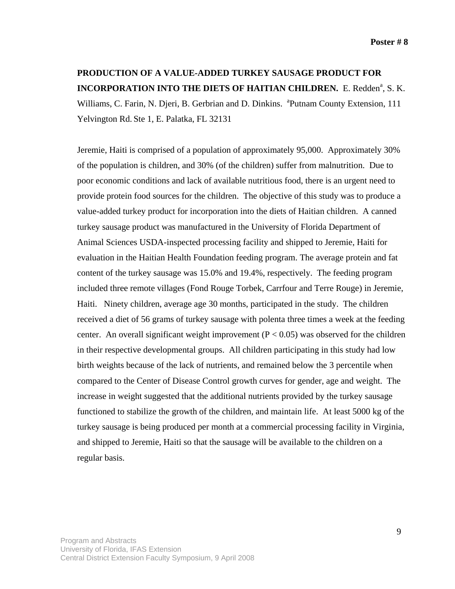## **PRODUCTION OF A VALUE-ADDED TURKEY SAUSAGE PRODUCT FOR INCORPORATION INTO THE DIETS OF HAITIAN CHILDREN.** E. Redden<sup>a</sup>, S. K.

Williams, C. Farin, N. Djeri, B. Gerbrian and D. Dinkins. <sup>a</sup>Putnam County Extension, 111 Yelvington Rd. Ste 1, E. Palatka, FL 32131

Jeremie, Haiti is comprised of a population of approximately 95,000. Approximately 30% of the population is children, and 30% (of the children) suffer from malnutrition. Due to poor economic conditions and lack of available nutritious food, there is an urgent need to provide protein food sources for the children. The objective of this study was to produce a value-added turkey product for incorporation into the diets of Haitian children. A canned turkey sausage product was manufactured in the University of Florida Department of Animal Sciences USDA-inspected processing facility and shipped to Jeremie, Haiti for evaluation in the Haitian Health Foundation feeding program. The average protein and fat content of the turkey sausage was 15.0% and 19.4%, respectively. The feeding program included three remote villages (Fond Rouge Torbek, Carrfour and Terre Rouge) in Jeremie, Haiti. Ninety children, average age 30 months, participated in the study. The children received a diet of 56 grams of turkey sausage with polenta three times a week at the feeding center. An overall significant weight improvement ( $P < 0.05$ ) was observed for the children in their respective developmental groups. All children participating in this study had low birth weights because of the lack of nutrients, and remained below the 3 percentile when compared to the Center of Disease Control growth curves for gender, age and weight. The increase in weight suggested that the additional nutrients provided by the turkey sausage functioned to stabilize the growth of the children, and maintain life. At least 5000 kg of the turkey sausage is being produced per month at a commercial processing facility in Virginia, and shipped to Jeremie, Haiti so that the sausage will be available to the children on a regular basis.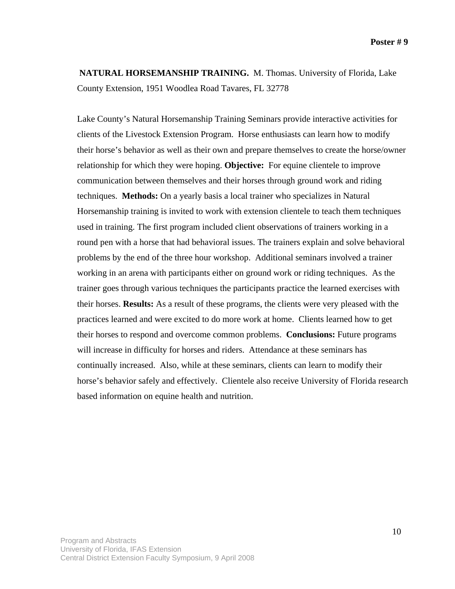**NATURAL HORSEMANSHIP TRAINING.** M. Thomas. University of Florida, Lake County Extension, 1951 Woodlea Road Tavares, FL 32778

Lake County's Natural Horsemanship Training Seminars provide interactive activities for clients of the Livestock Extension Program. Horse enthusiasts can learn how to modify their horse's behavior as well as their own and prepare themselves to create the horse/owner relationship for which they were hoping. **Objective:** For equine clientele to improve communication between themselves and their horses through ground work and riding techniques. **Methods:** On a yearly basis a local trainer who specializes in Natural Horsemanship training is invited to work with extension clientele to teach them techniques used in training. The first program included client observations of trainers working in a round pen with a horse that had behavioral issues. The trainers explain and solve behavioral problems by the end of the three hour workshop. Additional seminars involved a trainer working in an arena with participants either on ground work or riding techniques. As the trainer goes through various techniques the participants practice the learned exercises with their horses. **Results:** As a result of these programs, the clients were very pleased with the practices learned and were excited to do more work at home. Clients learned how to get their horses to respond and overcome common problems. **Conclusions:** Future programs will increase in difficulty for horses and riders. Attendance at these seminars has continually increased. Also, while at these seminars, clients can learn to modify their horse's behavior safely and effectively. Clientele also receive University of Florida research based information on equine health and nutrition.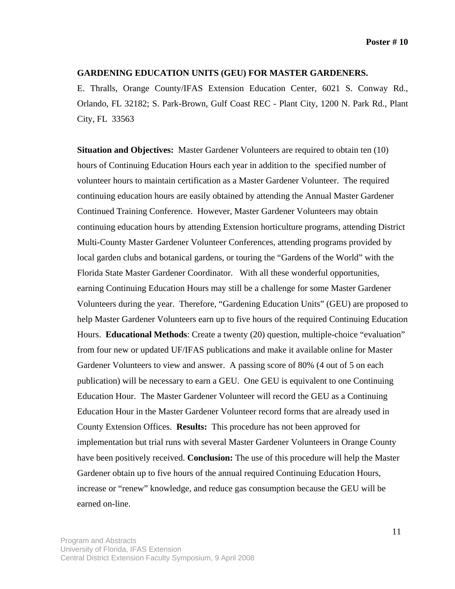#### **GARDENING EDUCATION UNITS (GEU) FOR MASTER GARDENERS.**

E. Thralls, Orange County/IFAS Extension Education Center, 6021 S. Conway Rd., Orlando, FL 32182; S. Park-Brown, Gulf Coast REC - Plant City, 1200 N. Park Rd., Plant City, FL 33563

**Situation and Objectives:** Master Gardener Volunteers are required to obtain ten (10) hours of Continuing Education Hours each year in addition to the specified number of volunteer hours to maintain certification as a Master Gardener Volunteer. The required continuing education hours are easily obtained by attending the Annual Master Gardener Continued Training Conference. However, Master Gardener Volunteers may obtain continuing education hours by attending Extension horticulture programs, attending District Multi-County Master Gardener Volunteer Conferences, attending programs provided by local garden clubs and botanical gardens, or touring the "Gardens of the World" with the Florida State Master Gardener Coordinator. With all these wonderful opportunities, earning Continuing Education Hours may still be a challenge for some Master Gardener Volunteers during the year. Therefore, "Gardening Education Units" (GEU) are proposed to help Master Gardener Volunteers earn up to five hours of the required Continuing Education Hours. **Educational Methods**: Create a twenty (20) question, multiple-choice "evaluation" from four new or updated UF/IFAS publications and make it available online for Master Gardener Volunteers to view and answer. A passing score of 80% (4 out of 5 on each publication) will be necessary to earn a GEU. One GEU is equivalent to one Continuing Education Hour. The Master Gardener Volunteer will record the GEU as a Continuing Education Hour in the Master Gardener Volunteer record forms that are already used in County Extension Offices. **Results:** This procedure has not been approved for implementation but trial runs with several Master Gardener Volunteers in Orange County have been positively received. **Conclusion:** The use of this procedure will help the Master Gardener obtain up to five hours of the annual required Continuing Education Hours, increase or "renew" knowledge, and reduce gas consumption because the GEU will be earned on-line.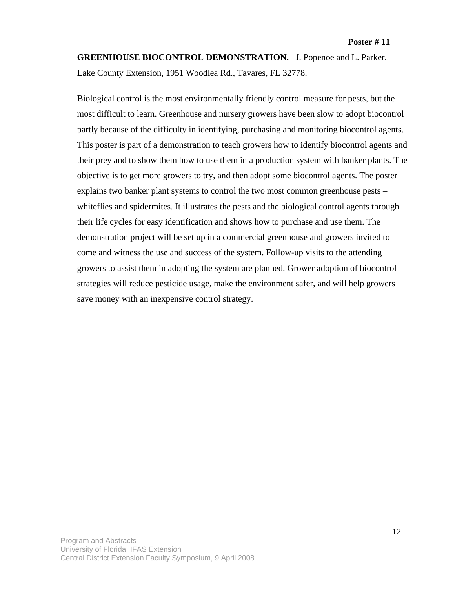**GREENHOUSE BIOCONTROL DEMONSTRATION.** J. Popenoe and L. Parker. Lake County Extension, 1951 Woodlea Rd., Tavares, FL 32778.

Biological control is the most environmentally friendly control measure for pests, but the most difficult to learn. Greenhouse and nursery growers have been slow to adopt biocontrol partly because of the difficulty in identifying, purchasing and monitoring biocontrol agents. This poster is part of a demonstration to teach growers how to identify biocontrol agents and their prey and to show them how to use them in a production system with banker plants. The objective is to get more growers to try, and then adopt some biocontrol agents. The poster explains two banker plant systems to control the two most common greenhouse pests – whiteflies and spidermites. It illustrates the pests and the biological control agents through their life cycles for easy identification and shows how to purchase and use them. The demonstration project will be set up in a commercial greenhouse and growers invited to come and witness the use and success of the system. Follow-up visits to the attending growers to assist them in adopting the system are planned. Grower adoption of biocontrol strategies will reduce pesticide usage, make the environment safer, and will help growers save money with an inexpensive control strategy.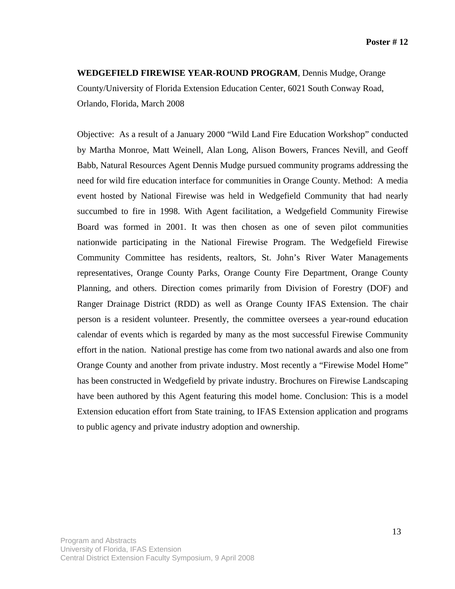**WEDGEFIELD FIREWISE YEAR-ROUND PROGRAM**, Dennis Mudge, Orange County/University of Florida Extension Education Center, 6021 South Conway Road, Orlando, Florida, March 2008

Objective: As a result of a January 2000 "Wild Land Fire Education Workshop" conducted by Martha Monroe, Matt Weinell, Alan Long, Alison Bowers, Frances Nevill, and Geoff Babb, Natural Resources Agent Dennis Mudge pursued community programs addressing the need for wild fire education interface for communities in Orange County. Method: A media event hosted by National Firewise was held in Wedgefield Community that had nearly succumbed to fire in 1998. With Agent facilitation, a Wedgefield Community Firewise Board was formed in 2001. It was then chosen as one of seven pilot communities nationwide participating in the National Firewise Program. The Wedgefield Firewise Community Committee has residents, realtors, St. John's River Water Managements representatives, Orange County Parks, Orange County Fire Department, Orange County Planning, and others. Direction comes primarily from Division of Forestry (DOF) and Ranger Drainage District (RDD) as well as Orange County IFAS Extension. The chair person is a resident volunteer. Presently, the committee oversees a year-round education calendar of events which is regarded by many as the most successful Firewise Community effort in the nation. National prestige has come from two national awards and also one from Orange County and another from private industry. Most recently a "Firewise Model Home" has been constructed in Wedgefield by private industry. Brochures on Firewise Landscaping have been authored by this Agent featuring this model home. Conclusion: This is a model Extension education effort from State training, to IFAS Extension application and programs to public agency and private industry adoption and ownership.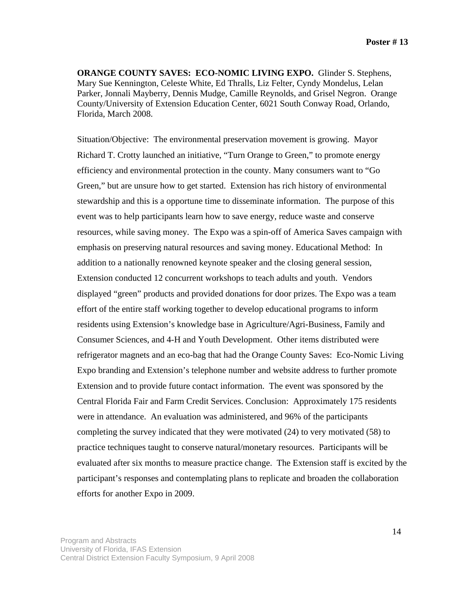**ORANGE COUNTY SAVES: ECO-NOMIC LIVING EXPO.** Glinder S. Stephens, Mary Sue Kennington, Celeste White, Ed Thralls, Liz Felter, Cyndy Mondelus, Lelan Parker, Jonnali Mayberry, Dennis Mudge, Camille Reynolds, and Grisel Negron. Orange County/University of Extension Education Center, 6021 South Conway Road, Orlando, Florida, March 2008.

Situation/Objective: The environmental preservation movement is growing. Mayor Richard T. Crotty launched an initiative, "Turn Orange to Green," to promote energy efficiency and environmental protection in the county. Many consumers want to "Go Green," but are unsure how to get started. Extension has rich history of environmental stewardship and this is a opportune time to disseminate information. The purpose of this event was to help participants learn how to save energy, reduce waste and conserve resources, while saving money. The Expo was a spin-off of America Saves campaign with emphasis on preserving natural resources and saving money. Educational Method: In addition to a nationally renowned keynote speaker and the closing general session, Extension conducted 12 concurrent workshops to teach adults and youth. Vendors displayed "green" products and provided donations for door prizes. The Expo was a team effort of the entire staff working together to develop educational programs to inform residents using Extension's knowledge base in Agriculture/Agri-Business, Family and Consumer Sciences, and 4-H and Youth Development. Other items distributed were refrigerator magnets and an eco-bag that had the Orange County Saves: Eco-Nomic Living Expo branding and Extension's telephone number and website address to further promote Extension and to provide future contact information. The event was sponsored by the Central Florida Fair and Farm Credit Services. Conclusion: Approximately 175 residents were in attendance. An evaluation was administered, and 96% of the participants completing the survey indicated that they were motivated (24) to very motivated (58) to practice techniques taught to conserve natural/monetary resources. Participants will be evaluated after six months to measure practice change. The Extension staff is excited by the participant's responses and contemplating plans to replicate and broaden the collaboration efforts for another Expo in 2009.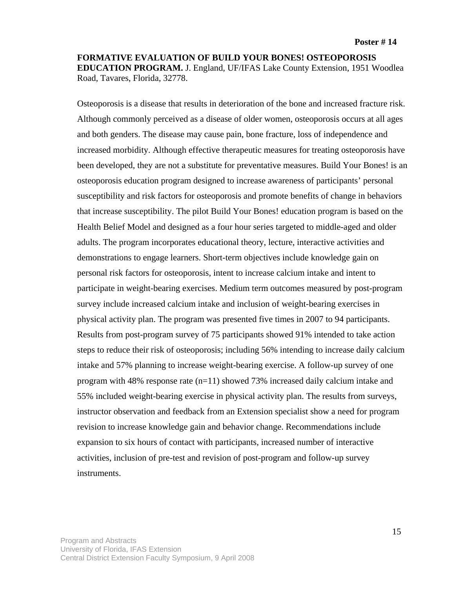**FORMATIVE EVALUATION OF BUILD YOUR BONES! OSTEOPOROSIS EDUCATION PROGRAM.** J. England, UF/IFAS Lake County Extension, 1951 Woodlea Road, Tavares, Florida, 32778.

Osteoporosis is a disease that results in deterioration of the bone and increased fracture risk. Although commonly perceived as a disease of older women, osteoporosis occurs at all ages and both genders. The disease may cause pain, bone fracture, loss of independence and increased morbidity. Although effective therapeutic measures for treating osteoporosis have been developed, they are not a substitute for preventative measures. Build Your Bones! is an osteoporosis education program designed to increase awareness of participants' personal susceptibility and risk factors for osteoporosis and promote benefits of change in behaviors that increase susceptibility. The pilot Build Your Bones! education program is based on the Health Belief Model and designed as a four hour series targeted to middle-aged and older adults. The program incorporates educational theory, lecture, interactive activities and demonstrations to engage learners. Short-term objectives include knowledge gain on personal risk factors for osteoporosis, intent to increase calcium intake and intent to participate in weight-bearing exercises. Medium term outcomes measured by post-program survey include increased calcium intake and inclusion of weight-bearing exercises in physical activity plan. The program was presented five times in 2007 to 94 participants. Results from post-program survey of 75 participants showed 91% intended to take action steps to reduce their risk of osteoporosis; including 56% intending to increase daily calcium intake and 57% planning to increase weight-bearing exercise. A follow-up survey of one program with 48% response rate (n=11) showed 73% increased daily calcium intake and 55% included weight-bearing exercise in physical activity plan. The results from surveys, instructor observation and feedback from an Extension specialist show a need for program revision to increase knowledge gain and behavior change. Recommendations include expansion to six hours of contact with participants, increased number of interactive activities, inclusion of pre-test and revision of post-program and follow-up survey instruments.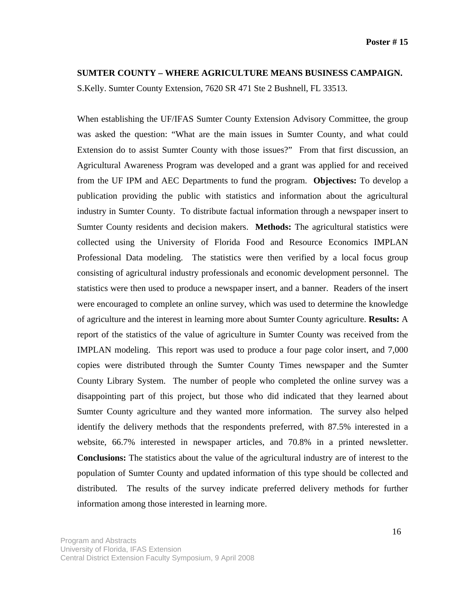### **SUMTER COUNTY – WHERE AGRICULTURE MEANS BUSINESS CAMPAIGN.**

S.Kelly. Sumter County Extension, 7620 SR 471 Ste 2 Bushnell, FL 33513.

When establishing the UF/IFAS Sumter County Extension Advisory Committee, the group was asked the question: "What are the main issues in Sumter County, and what could Extension do to assist Sumter County with those issues?" From that first discussion, an Agricultural Awareness Program was developed and a grant was applied for and received from the UF IPM and AEC Departments to fund the program. **Objectives:** To develop a publication providing the public with statistics and information about the agricultural industry in Sumter County. To distribute factual information through a newspaper insert to Sumter County residents and decision makers. **Methods:** The agricultural statistics were collected using the University of Florida Food and Resource Economics IMPLAN Professional Data modeling. The statistics were then verified by a local focus group consisting of agricultural industry professionals and economic development personnel. The statistics were then used to produce a newspaper insert, and a banner. Readers of the insert were encouraged to complete an online survey, which was used to determine the knowledge of agriculture and the interest in learning more about Sumter County agriculture. **Results:** A report of the statistics of the value of agriculture in Sumter County was received from the IMPLAN modeling. This report was used to produce a four page color insert, and 7,000 copies were distributed through the Sumter County Times newspaper and the Sumter County Library System. The number of people who completed the online survey was a disappointing part of this project, but those who did indicated that they learned about Sumter County agriculture and they wanted more information. The survey also helped identify the delivery methods that the respondents preferred, with 87.5% interested in a website, 66.7% interested in newspaper articles, and 70.8% in a printed newsletter. **Conclusions:** The statistics about the value of the agricultural industry are of interest to the population of Sumter County and updated information of this type should be collected and distributed. The results of the survey indicate preferred delivery methods for further information among those interested in learning more.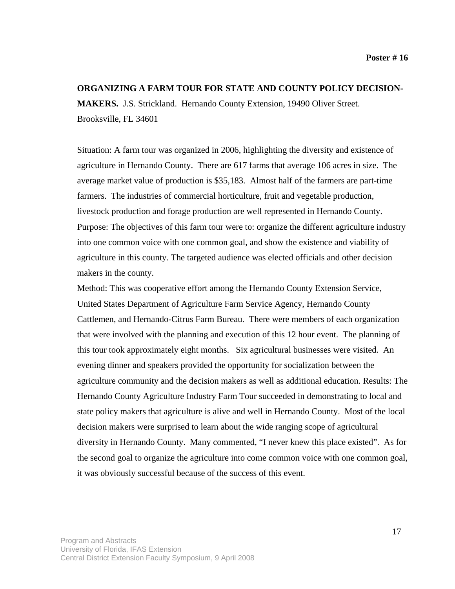#### **ORGANIZING A FARM TOUR FOR STATE AND COUNTY POLICY DECISION-**

**MAKERS.** J.S. Strickland. Hernando County Extension, 19490 Oliver Street. Brooksville, FL 34601

Situation: A farm tour was organized in 2006, highlighting the diversity and existence of agriculture in Hernando County. There are 617 farms that average 106 acres in size. The average market value of production is \$35,183. Almost half of the farmers are part-time farmers. The industries of commercial horticulture, fruit and vegetable production, livestock production and forage production are well represented in Hernando County. Purpose: The objectives of this farm tour were to: organize the different agriculture industry into one common voice with one common goal, and show the existence and viability of agriculture in this county. The targeted audience was elected officials and other decision makers in the county.

Method: This was cooperative effort among the Hernando County Extension Service, United States Department of Agriculture Farm Service Agency, Hernando County Cattlemen, and Hernando-Citrus Farm Bureau. There were members of each organization that were involved with the planning and execution of this 12 hour event. The planning of this tour took approximately eight months. Six agricultural businesses were visited. An evening dinner and speakers provided the opportunity for socialization between the agriculture community and the decision makers as well as additional education. Results: The Hernando County Agriculture Industry Farm Tour succeeded in demonstrating to local and state policy makers that agriculture is alive and well in Hernando County. Most of the local decision makers were surprised to learn about the wide ranging scope of agricultural diversity in Hernando County. Many commented, "I never knew this place existed". As for the second goal to organize the agriculture into come common voice with one common goal, it was obviously successful because of the success of this event.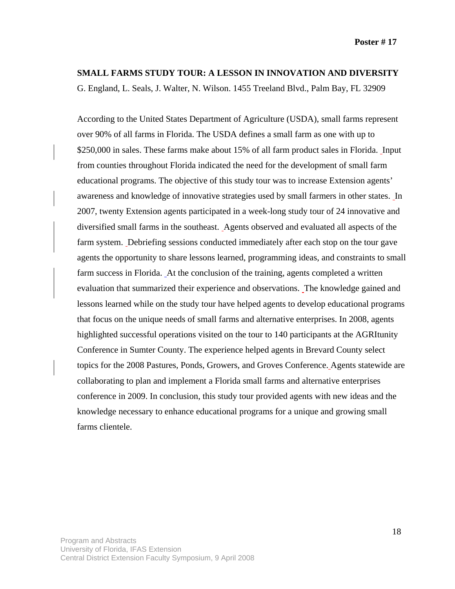### **SMALL FARMS STUDY TOUR: A LESSON IN INNOVATION AND DIVERSITY**

G. England, L. Seals, J. Walter, N. Wilson. 1455 Treeland Blvd., Palm Bay, FL 32909

According to the United States Department of Agriculture (USDA), small farms represent over 90% of all farms in Florida. The USDA defines a small farm as one with up to \$250,000 in sales. These farms make about 15% of all farm product sales in Florida. Input from counties throughout Florida indicated the need for the development of small farm educational programs. The objective of this study tour was to increase Extension agents' awareness and knowledge of innovative strategies used by small farmers in other states. In 2007, twenty Extension agents participated in a week-long study tour of 24 innovative and diversified small farms in the southeast. Agents observed and evaluated all aspects of the farm system. Debriefing sessions conducted immediately after each stop on the tour gave agents the opportunity to share lessons learned, programming ideas, and constraints to small farm success in Florida. At the conclusion of the training, agents completed a written evaluation that summarized their experience and observations. The knowledge gained and lessons learned while on the study tour have helped agents to develop educational programs that focus on the unique needs of small farms and alternative enterprises. In 2008, agents highlighted successful operations visited on the tour to 140 participants at the AGRItunity Conference in Sumter County. The experience helped agents in Brevard County select topics for the 2008 Pastures, Ponds, Growers, and Groves Conference. Agents statewide are collaborating to plan and implement a Florida small farms and alternative enterprises conference in 2009. In conclusion, this study tour provided agents with new ideas and the knowledge necessary to enhance educational programs for a unique and growing small farms clientele.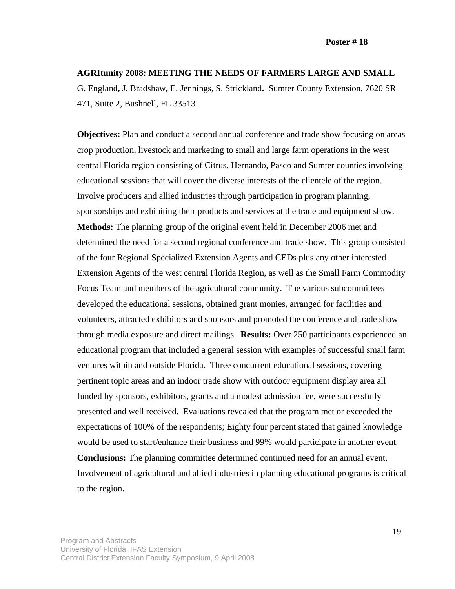### **AGRItunity 2008: MEETING THE NEEDS OF FARMERS LARGE AND SMALL**

G. England**,** J. Bradshaw**,** E. Jennings, S. Strickland**.** Sumter County Extension, 7620 SR 471, Suite 2, Bushnell, FL 33513

**Objectives:** Plan and conduct a second annual conference and trade show focusing on areas crop production, livestock and marketing to small and large farm operations in the west central Florida region consisting of Citrus, Hernando, Pasco and Sumter counties involving educational sessions that will cover the diverse interests of the clientele of the region. Involve producers and allied industries through participation in program planning, sponsorships and exhibiting their products and services at the trade and equipment show. **Methods:** The planning group of the original event held in December 2006 met and determined the need for a second regional conference and trade show. This group consisted of the four Regional Specialized Extension Agents and CEDs plus any other interested Extension Agents of the west central Florida Region, as well as the Small Farm Commodity Focus Team and members of the agricultural community. The various subcommittees developed the educational sessions, obtained grant monies, arranged for facilities and volunteers, attracted exhibitors and sponsors and promoted the conference and trade show through media exposure and direct mailings. **Results:** Over 250 participants experienced an educational program that included a general session with examples of successful small farm ventures within and outside Florida. Three concurrent educational sessions, covering pertinent topic areas and an indoor trade show with outdoor equipment display area all funded by sponsors, exhibitors, grants and a modest admission fee, were successfully presented and well received. Evaluations revealed that the program met or exceeded the expectations of 100% of the respondents; Eighty four percent stated that gained knowledge would be used to start/enhance their business and 99% would participate in another event. **Conclusions:** The planning committee determined continued need for an annual event. Involvement of agricultural and allied industries in planning educational programs is critical to the region.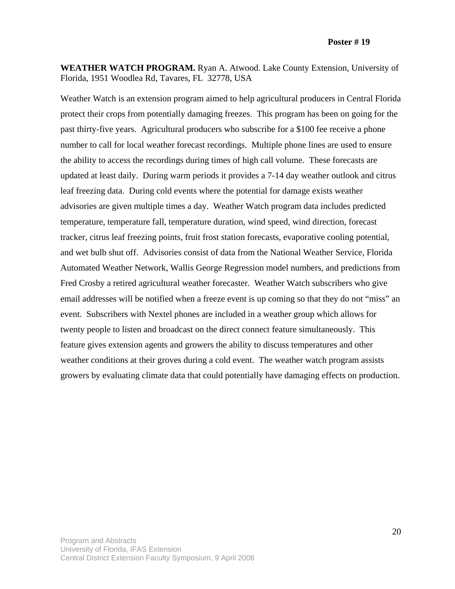**Poster # 19** 

**WEATHER WATCH PROGRAM.** Ryan A. Atwood. Lake County Extension, University of Florida, 1951 Woodlea Rd, Tavares, FL 32778, USA

Weather Watch is an extension program aimed to help agricultural producers in Central Florida protect their crops from potentially damaging freezes. This program has been on going for the past thirty-five years. Agricultural producers who subscribe for a \$100 fee receive a phone number to call for local weather forecast recordings. Multiple phone lines are used to ensure the ability to access the recordings during times of high call volume. These forecasts are updated at least daily. During warm periods it provides a 7-14 day weather outlook and citrus leaf freezing data. During cold events where the potential for damage exists weather advisories are given multiple times a day. Weather Watch program data includes predicted temperature, temperature fall, temperature duration, wind speed, wind direction, forecast tracker, citrus leaf freezing points, fruit frost station forecasts, evaporative cooling potential, and wet bulb shut off. Advisories consist of data from the National Weather Service, Florida Automated Weather Network, Wallis George Regression model numbers, and predictions from Fred Crosby a retired agricultural weather forecaster. Weather Watch subscribers who give email addresses will be notified when a freeze event is up coming so that they do not "miss" an event. Subscribers with Nextel phones are included in a weather group which allows for twenty people to listen and broadcast on the direct connect feature simultaneously. This feature gives extension agents and growers the ability to discuss temperatures and other weather conditions at their groves during a cold event. The weather watch program assists growers by evaluating climate data that could potentially have damaging effects on production.